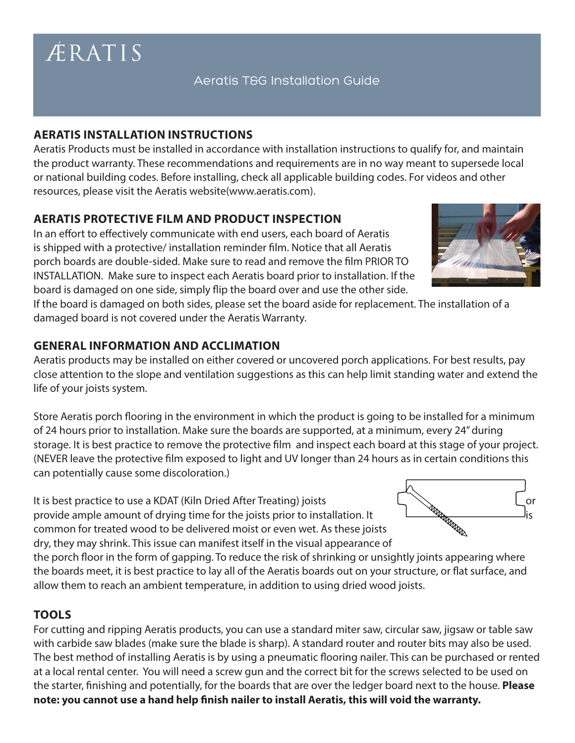# Aeratis T&G Installation Guide

#### **AERATIS INSTALLATION INSTRUCTIONS**

Aeratis Products must be installed in accordance with installation instructions to qualify for, and maintain the product warranty. These recommendations and requirements are in no way meant to supersede local or national building codes. Before installing, check all applicable building codes. For videos and other resources, please visit the Aeratis website(www.aeratis.com).

## **AERATIS PROTECTIVE FILM AND PRODUCT INSPECTION**

In an effort to effectively communicate with end users, each board of Aeratis is shipped with a protective/ installation reminder film. Notice that all Aeratis porch boards are double-sided. Make sure to read and remove the film PRIOR TO INSTALLATION. Make sure to inspect each Aeratis board prior to installation. If the board is damaged on one side, simply flip the board over and use the other side.

If the board is damaged on both sides, please set the board aside for replacement. The installation of a damaged board is not covered under the Aeratis Warranty.

#### **GENERAL INFORMATION AND ACCLIMATION**

Aeratis products may be installed on either covered or uncovered porch applications. For best results, pay close attention to the slope and ventilation suggestions as this can help limit standing water and extend the life of your joists system.

Store Aeratis porch flooring in the environment in which the product is going to be installed for a minimum of 24 hours prior to installation. Make sure the boards are supported, at a minimum, every 24" during storage. It is best practice to remove the protective film and inspect each board at this stage of your project. (NEVER leave the protective film exposed to light and UV longer than 24 hours as in certain conditions this can potentially cause some discoloration.)

It is best practice to use a KDAT (Kiln Dried After Treating) joists **Superiorists** Lor Lor Constallation. It is a smaller amount of drying time for the joists prior to installation. It is a smaller amount of drying time f provide ample amount of drying time for the joists prior to installation. It common for treated wood to be delivered moist or even wet. As these joists dry, they may shrink. This issue can manifest itself in the visual appearance of

the porch floor in the form of gapping. To reduce the risk of shrinking or unsightly joints appearing where the boards meet, it is best practice to lay all of the Aeratis boards out on your structure, or flat surface, and allow them to reach an ambient temperature, in addition to using dried wood joists.

#### **TOOLS**

For cutting and ripping Aeratis products, you can use a standard miter saw, circular saw, jigsaw or table saw with carbide saw blades (make sure the blade is sharp). A standard router and router bits may also be used. The best method of installing Aeratis is by using a pneumatic flooring nailer. This can be purchased or rented at a local rental center. You will need a screw gun and the correct bit for the screws selected to be used on the starter, finishing and potentially, for the boards that are over the ledger board next to the house. **Please note: you cannot use a hand help finish nailer to install Aeratis, this will void the warranty.** 







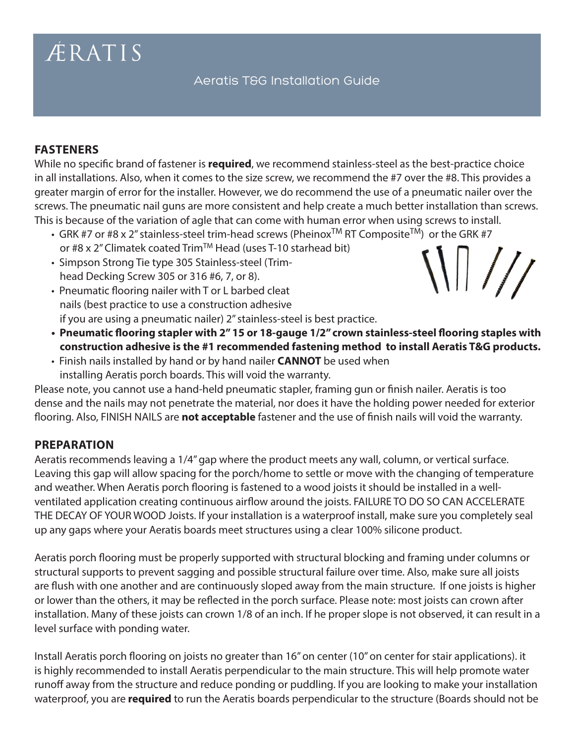Aeratis T&G Installation Guide

#### **FASTENERS**

While no specific brand of fastener is **required**, we recommend stainless-steel as the best-practice choice in all installations. Also, when it comes to the size screw, we recommend the #7 over the #8. This provides a greater margin of error for the installer. However, we do recommend the use of a pneumatic nailer over the screws. The pneumatic nail guns are more consistent and help create a much better installation than screws. This is because of the variation of agle that can come with human error when using screws to install.

- GRK #7 or #8 x 2" stainless-steel trim-head screws (Pheinox<sup>TM</sup> RT Composite<sup>TM</sup>) or the GRK #7 or #8 x 2" Climatek coated Trim™ Head (uses T-10 starhead bit)  $\langle 1 | 1 / 2 \rangle$
- Simpson Strong Tie type 305 Stainless-steel (Trimhead Decking Screw 305 or 316 #6, 7, or 8).
- Pneumatic flooring nailer with T or L barbed cleat nails (best practice to use a construction adhesive if you are using a pneumatic nailer) 2" stainless-steel is best practice.
- **Pneumatic flooring stapler with 2" 15 or 18-gauge 1/2" crown stainless-steel flooring staples with construction adhesive is the #1 recommended fastening method to install Aeratis T&G products.**
- Finish nails installed by hand or by hand nailer **CANNOT** be used when installing Aeratis porch boards. This will void the warranty.

Please note, you cannot use a hand-held pneumatic stapler, framing gun or finish nailer. Aeratis is too dense and the nails may not penetrate the material, nor does it have the holding power needed for exterior flooring. Also, FINISH NAILS are **not acceptable** fastener and the use of finish nails will void the warranty.

#### **PREPARATION**

Aeratis recommends leaving a 1/4" gap where the product meets any wall, column, or vertical surface. Leaving this gap will allow spacing for the porch/home to settle or move with the changing of temperature and weather. When Aeratis porch flooring is fastened to a wood joists it should be installed in a wellventilated application creating continuous airflow around the joists. FAILURE TO DO SO CAN ACCELERATE THE DECAY OF YOUR WOOD Joists. If your installation is a waterproof install, make sure you completely seal up any gaps where your Aeratis boards meet structures using a clear 100% silicone product.

Aeratis porch flooring must be properly supported with structural blocking and framing under columns or structural supports to prevent sagging and possible structural failure over time. Also, make sure all joists are flush with one another and are continuously sloped away from the main structure. If one joists is higher or lower than the others, it may be reflected in the porch surface. Please note: most joists can crown after installation. Many of these joists can crown 1/8 of an inch. If he proper slope is not observed, it can result in a level surface with ponding water.

Install Aeratis porch flooring on joists no greater than 16" on center (10" on center for stair applications). it is highly recommended to install Aeratis perpendicular to the main structure. This will help promote water runoff away from the structure and reduce ponding or puddling. If you are looking to make your installation waterproof, you are **required** to run the Aeratis boards perpendicular to the structure (Boards should not be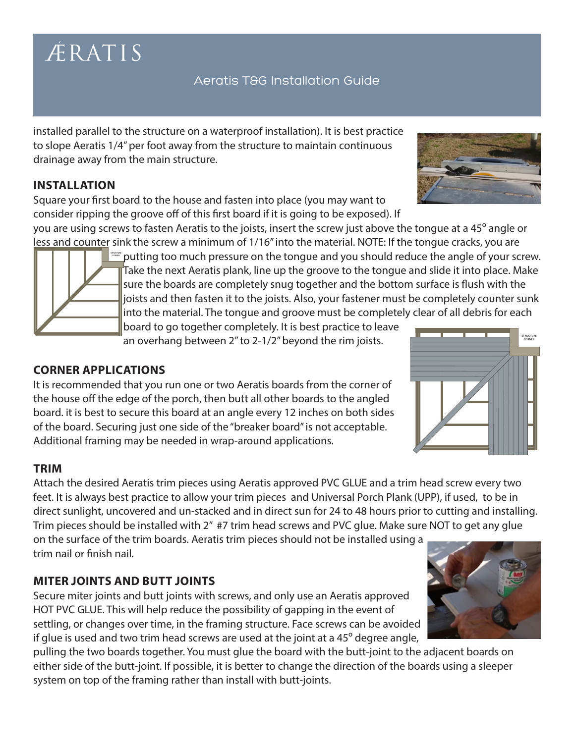## Aeratis T&G Installation Guide

installed parallel to the structure on a waterproof installation). It is best practice to slope Aeratis 1/4" per foot away from the structure to maintain continuous drainage away from the main structure.

## **INSTALLATION**

Square your first board to the house and fasten into place (you may want to consider ripping the groove off of this first board if it is going to be exposed). If

you are using screws to fasten Aeratis to the joists, insert the screw just above the tongue at a 45º angle or less and counter sink the screw a minimum of 1/16" into the material. NOTE: If the tongue cracks, you are

putting too much pressure on the tongue and you should reduce the angle of your screw. Take the next Aeratis plank, line up the groove to the tongue and slide it into place. Make sure the boards are completely snug together and the bottom surface is flush with the joists and then fasten it to the joists. Also, your fastener must be completely counter sunk into the material. The tongue and groove must be completely clear of all debris for each

board to go together completely. It is best practice to leave an overhang between 2" to 2-1/2" beyond the rim joists.

## **CORNER APPLICATIONS**

It is recommended that you run one or two Aeratis boards from the corner of the house off the edge of the porch, then butt all other boards to the angled board. it is best to secure this board at an angle every 12 inches on both sides of the board. Securing just one side of the "breaker board" is not acceptable. Additional framing may be needed in wrap-around applications.

#### **TRIM**

Attach the desired Aeratis trim pieces using Aeratis approved PVC GLUE and a trim head screw every two feet. It is always best practice to allow your trim pieces and Universal Porch Plank (UPP), if used, to be in direct sunlight, uncovered and un-stacked and in direct sun for 24 to 48 hours prior to cutting and installing. Trim pieces should be installed with 2" #7 trim head screws and PVC glue. Make sure NOT to get any glue on the surface of the trim boards. Aeratis trim pieces should not be installed using a trim nail or finish nail.

## **MITER JOINTS AND BUTT JOINTS**

Secure miter joints and butt joints with screws, and only use an Aeratis approved HOT PVC GLUE. This will help reduce the possibility of gapping in the event of settling, or changes over time, in the framing structure. Face screws can be avoided if glue is used and two trim head screws are used at the joint at a 45º degree angle,

pulling the two boards together. You must glue the board with the butt-joint to the adjacent boards on either side of the butt-joint. If possible, it is better to change the direction of the boards using a sleeper system on top of the framing rather than install with butt-joints.





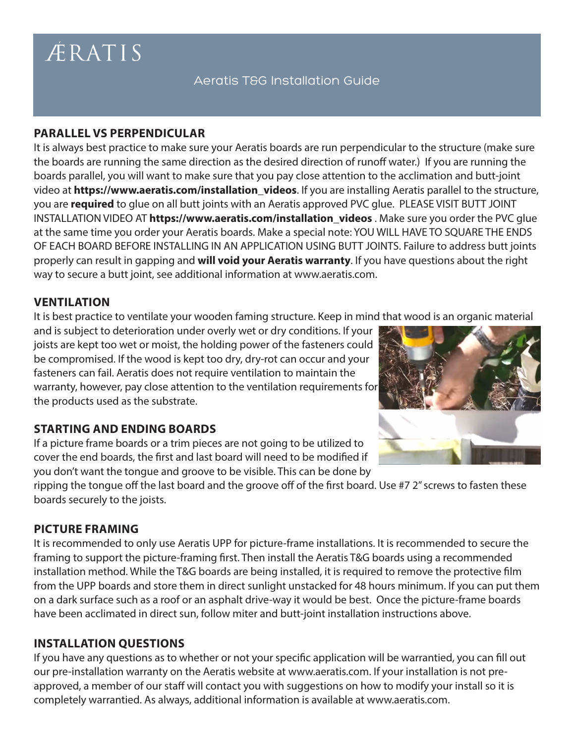## Aeratis T&G Installation Guide

## **PARALLEL VS PERPENDICULAR**

It is always best practice to make sure your Aeratis boards are run perpendicular to the structure (make sure the boards are running the same direction as the desired direction of runoff water.) If you are running the boards parallel, you will want to make sure that you pay close attention to the acclimation and butt-joint video at **https://www.aeratis.com/installation\_videos**. If you are installing Aeratis parallel to the structure, you are **required** to glue on all butt joints with an Aeratis approved PVC glue. PLEASE VISIT BUTT JOINT INSTALLATION VIDEO AT **https://www.aeratis.com/installation\_videos** . Make sure you order the PVC glue at the same time you order your Aeratis boards. Make a special note: YOU WILL HAVE TO SQUARE THE ENDS OF EACH BOARD BEFORE INSTALLING IN AN APPLICATION USING BUTT JOINTS. Failure to address butt joints properly can result in gapping and **will void your Aeratis warranty**. If you have questions about the right way to secure a butt joint, see additional information at www.aeratis.com.

## **VENTILATION**

It is best practice to ventilate your wooden faming structure. Keep in mind that wood is an organic material

and is subject to deterioration under overly wet or dry conditions. If your joists are kept too wet or moist, the holding power of the fasteners could be compromised. If the wood is kept too dry, dry-rot can occur and your fasteners can fail. Aeratis does not require ventilation to maintain the warranty, however, pay close attention to the ventilation requirements for the products used as the substrate.

## **STARTING AND ENDING BOARDS**

If a picture frame boards or a trim pieces are not going to be utilized to cover the end boards, the first and last board will need to be modified if you don't want the tongue and groove to be visible. This can be done by

ripping the tongue off the last board and the groove off of the first board. Use #7 2" screws to fasten these boards securely to the joists.

## **PICTURE FRAMING**

It is recommended to only use Aeratis UPP for picture-frame installations. It is recommended to secure the framing to support the picture-framing first. Then install the Aeratis T&G boards using a recommended installation method. While the T&G boards are being installed, it is required to remove the protective film from the UPP boards and store them in direct sunlight unstacked for 48 hours minimum. If you can put them on a dark surface such as a roof or an asphalt drive-way it would be best. Once the picture-frame boards have been acclimated in direct sun, follow miter and butt-joint installation instructions above.

## **INSTALLATION QUESTIONS**

If you have any questions as to whether or not your specific application will be warrantied, you can fill out our pre-installation warranty on the Aeratis website at www.aeratis.com. If your installation is not preapproved, a member of our staff will contact you with suggestions on how to modify your install so it is completely warrantied. As always, additional information is available at www.aeratis.com.